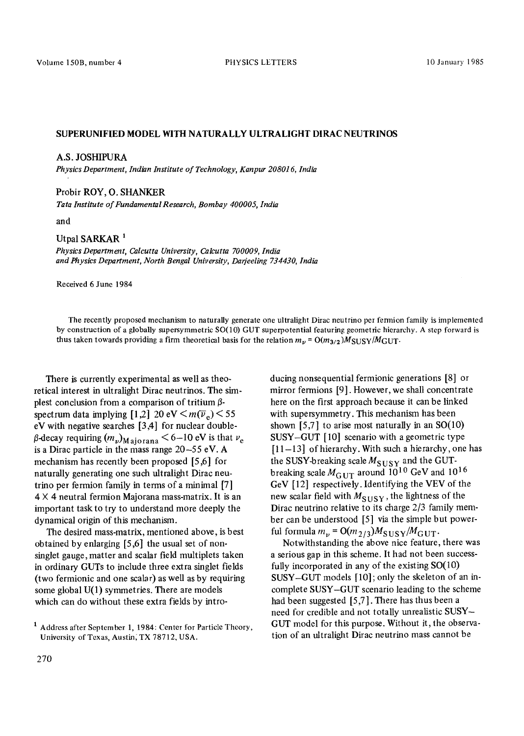## SUPERUNIFIED MODEL WITH NATURALLY ULTRALIGHT DIRAC NEUTRINOS

#### A.S. JOSHIPURA

*Physics Department, Indian Institute of Technology, Kanpur 208016, lndia* 

### Probir ROY, O. SHANKER

*Tara Institute of Fundamental Research, Bombay 400005, lndia* 

*and* 

# Utpal SARKAR<sup>1</sup>

*Physics Department, Calcutta University, Calcutta 700009, India and Physics Department, North Bengal University, Darjeeling 734430, India* 

Received 6 June 1984

The recently proposed mechanism to naturally generate one ultralight Dirac neutrino per fermion family is implemented by construction of a globally supersymmetric SO(10) GUT superpotential featuring geometric hierarchy. A step forward is thus taken towards providing a firm theoretical basis for the relation  $m_{\nu} = O(m_{3/2})M_{\text{SUSY}}/M_{\text{GUT}}$ .

There is currently experimental as well as theoretical interest in ultralight Dirac neutrinos. The simplest conclusion from a comparison of tritium  $\beta$ spectrum data implying [1,2] 20 eV  $\leq m(\overline{\nu}_e) \leq 55$ eV with negative searches [3,4] for nuclear double-  $\beta$ -decay requiring  $(m_{\nu})_{\text{M aiorana}} < 6-10 \text{ eV}$  is that  $\nu_e$ is a Dirac particle in the mass range 20-55 eV. A mechanism has recently been proposed [5,6] for naturally generating one such ultralight Dirac neutrino per fermion family in terms of a minimal [7]  $4 \times 4$  neutral fermion Majorana mass-matrix. It is an important task to try to understand more deeply the dynamical origin of this mechanism.

The desired mass-matrix, mentioned above, is best obtained by enlarging [5,6] the usual set of nonsinglet gauge, matter and scalar field multiplets taken in ordinary GUTs to include three extra singlet fields (two fermionic and one scalar) as well as by requiring some global U(1) symmetries. There are models which can do without these extra fields by introducing nonsequential fermionic generations [8] or mirror fermions [9]. However, we shall concentrate here on the first approach because it can be linked with supersymmetry. This mechanism has been shown [5,7] to arise most naturally in an  $SO(10)$ SUSY-GUT [10] scenario with a geometric type [11-13] of hierarchy. With such a hierarchy, one has the SUSY-breaking scale  $M_{\text{SUSY}}$  and the GUTbreaking scale  $M_{\text{GUT}}$  around 10<sup>10</sup> GeV and 10<sup>16</sup> GeV [12] respectively. Identifying the VEV of the new scalar field with  $M_{\text{SUSY}}$ , the lightness of the Dirac neutrino relative to its charge 2/3 family member can be understood [5] via the simple but powerful formula  $m_{\nu} = O(m_{2/3})M_{\text{SUSY}}/M_{\text{GUT}}$ .

Notwithstanding the above nice feature, there was a serious gap in this scheme. It had not been successfully incorporated in any of the existing SO(10) SUSY-GUT models [10]; only the skeleton of an incomplete SUSY-GUT scenario leading to the scheme had been suggested [5,7]. There has thus been a need for credible and not totally unrealistic SUSY-GUT model for this purpose. Without it, the observation of an ultralight Dirac neutrino mass cannot be

<sup>&</sup>lt;sup>1</sup> Address after September 1, 1984: Center for Particle Theory, University of Texas, Austin, TX 78712, USA.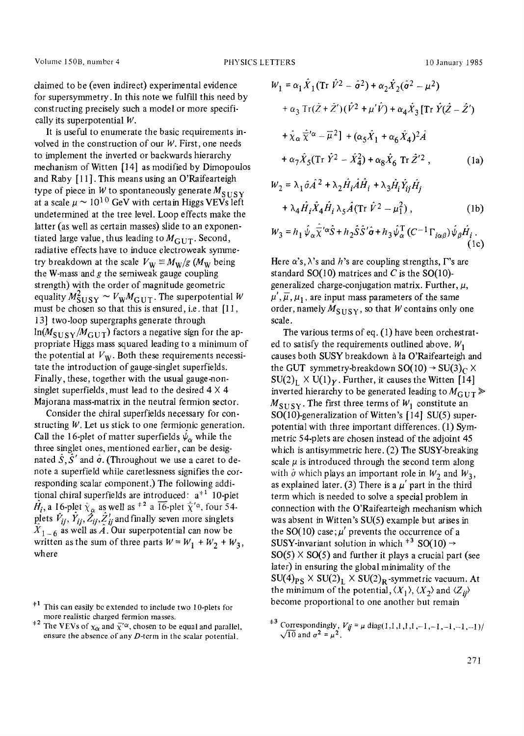claimed to be (even indirect) experimental evidence for supersymmetry. In this note we fulfill this need by constructing precisely such a model or more specifically its superpotential W.

It is useful to enumerate the basic requirements involved in the construction of our  $W$ . First, one needs to implement the inverted or backwards hierarchy mechanism of Witten [14] as modified by Dimopoulos and Raby [11]. This means using an O'Raifearteigh type of piece in W to spontaneously generate  $M_{SUSY}$ at a scale  $\mu \sim 10^{10}$  GeV with certain Higgs VEVs left undetermined at the tree level. Loop effects make the latter (as well as certain masses) slide to an exponentiated large value, thus leading to  $M_{\rm GUT}$ . Second, radiative effects have to induce electroweak symmetry breakdown at the scale  $V_w \equiv M_w/g$  ( $M_w$  being the W-mass and  $g$  the semiweak gauge coupling strength) with the order of magnitude geometric equality  $M_{\rm SUSY}^2 \sim V_{\rm W} M_{\rm GUT}$ . The superpotential W must be chosen so that this is ensured, i.e. that [11, 13] two-loop supergraphs generate through  $ln(M_{\text{SUSY}}/M_{\text{GUT}})$  factors a negative sign for the appropriate Higgs mass squared leading to a minimum of the potential at  $V_W$ . Both these requirements necessitate the introduction of gauge-singlet superfields. Finally, these, together with the usual gauge-nonsinglet superfields, must lead to the desired  $4 \times 4$ Majorana mass-matrix in the neutral fermion sector.

Consider the chiral superfields necessary for constructing W. Let us stick to one fermionic generation. Call the 16-plet of matter superfields  $\psi_{\alpha}$  while the three singlet ones, mentioned earlier, can be designated  $\hat{S}, \hat{S}'$  and  $\hat{\sigma}$ . (Throughout we use a caret to denote a superfield while caretlessness signifies the corresponding scalar component.) The following additional chiral superfields are introduced:  $a^{\pm 1}$  10-plet  $\hat{H}_i$ , a 16-plet  $\hat{\chi}_{\alpha}$  as well as  $\ast^2$  a  $\overline{16}$ -plet  $\hat{\overline{\chi}}'$ <sup> $\alpha$ </sup>, four 54plets  $\hat{V}_{ij}, \hat{Y}_{ij}, \hat{Z}_{ij}, \hat{Z}_{ij}$  and finally seven more singlets  $X_{1-6}$  as well as A. Our superpotential can now be written as the sum of three parts  $W = W_1 + W_2 + W_3$ , where

$$
W_1 = \alpha_1 \hat{X}_1 (\text{Tr } \hat{V}^2 - \hat{\sigma}^2) + \alpha_2 \hat{X}_2 (\hat{\sigma}^2 - \mu^2)
$$
  
+  $\alpha_3 \text{Tr}(\hat{Z} + \hat{Z}') (\hat{V}^2 + \mu' \hat{V}) + \alpha_4 \hat{X}_3 [\text{Tr } \hat{Y} (\hat{Z} - \hat{Z}')$   
+  $\hat{X}_{\alpha} \hat{\overline{X}}'^{\alpha} - \overline{\mu}^2] + (\alpha_5 \hat{X}_1 + \alpha_6 \hat{X}_4)^2 \hat{A}$   
+  $\alpha_7 \hat{X}_5 (\text{Tr } \hat{Y}^2 - \hat{X}_4^2) + \alpha_8 \hat{X}_6 \text{Tr } \hat{Z}'^2$ , (1a)  

$$
W = \lambda_7 \hat{X}_3 (\hat{X} + \lambda_7) \hat{H} \hat{A} \hat{H} + \lambda_7 \hat{H} \hat{X} \hat{H}
$$

$$
W_2 = \lambda_1 \sigma A^2 + \lambda_2 H_i A H_i + \lambda_3 H_i Y_{ij} H_j
$$
  
+  $\lambda_4 \hat{H}_i \hat{X}_4 \hat{H}_i \lambda_5 \hat{A} (\text{Tr } \hat{V}^2 - \mu_1^2),$  (1b)  

$$
W_2 = h_1 \hat{\psi}_2 \hat{\nabla}^{\prime\alpha} \hat{S} + h_2 \hat{S} \hat{S}^{\prime} \hat{\sigma} + h_2 \hat{\psi}_1^T (C^{-1} \Gamma_{\text{tot}}) \hat{\psi}_2 \hat{H}.
$$

Here 
$$
\alpha
$$
's,  $\lambda$ 's and  $h$ 's are coupling strengths,  $\Gamma$ 's are

standard SO(10) matrices and  $C$  is the SO(10)generalized charge-conjugation matrix. Further,  $\mu$ ,  $\mu', \overline{\mu}, \mu_1$ , are input mass parameters of the same order, namely  $M_{\text{SUSY}}$ , so that W contains only one scale.

The various terms of eq. (1) have been orchestrated to satisfy the requirements outlined above.  $W_1$ causes both SUSY breakdown à la O'Raifearteigh and the GUT symmetry-breakdown  $SO(10) \rightarrow SU(3)_C \times$  $SU(2)_1$  X  $U(1)_Y$ . Further, it causes the Witten [14] inverted hierarchy to be generated leading to  $M_{GUT}$  $M_{\text{SUSY}}$ . The first three terms of  $W_1$  constitute an **SO(10)-generalization** of Witten's [ 14] SU(5) superpotential with three important differences. (1) Symmetric 54-plets are chosen instead of the adjoint 45 which is antisymmetric here. (2) The SUSY-breaking scale  $\mu$  is introduced through the second term along with  $\hat{\sigma}$  which plays an important role in  $W_2$  and  $W_3$ , as explained later. (3) There is a  $\mu'$  part in the third term which is needed to solve a special problem in connection with the O'Raifearteigh mechanism which was absent in Witten's SU(5) example but arises in the SO(10) case;  $\mu'$  prevents the occurrence of a SUSY-invariant solution in which  $*^3$  SO(10)  $\rightarrow$  $SO(5) \times SO(5)$  and further it plays a crucial part (see later) in ensuring the global minimality of the  $SU(4)_{PS} \times SU(2)_L \times SU(2)_R$ -symmetric vacuum. At the minimum of the potential,  $\langle X_1 \rangle$ ,  $\langle X_2 \rangle$  and  $\langle Z_{ij} \rangle$ become proportional to one another but remain

This can easily be extended to include two 10-plets for more realistic charged fermion masses.

<sup>&</sup>lt;sup>#2</sup> The VEVs of  $\chi_{\alpha}$  and  $\bar{\chi}'^{\alpha}$ , chosen to be equal and parallel, ensure the absence of any D-term in the scalar potential.

<sup>&</sup>lt;sup> $\pm 3$ </sup> Correspondingly,  $V_{ij} = \mu \text{ diag}(1,1,1,1,1,-1,-1,-1,-1)/$  $\sqrt{10}$  and  $\sigma^2 = \mu^2$ .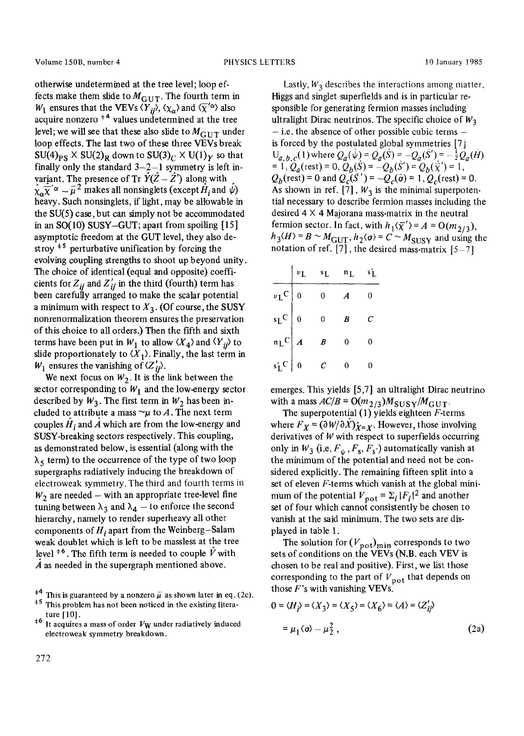otherwise undetermined at the tree level; loop effects make them slide to  $M_{\text{GUT}}$ . The fourth term in  $W_1$  ensures that the VEVs  $\langle \overline{Y}_{ij} \rangle$ ,  $\langle \chi_{\alpha} \rangle$  and  $\langle \overline{\chi}'^{\alpha} \rangle$  also acquire nonzero  $*4$  values undetermined at the tree level; we will see that these also slide to  $M_{\text{CUT}}$  under loop effects. The last two of these three VEVs break  $SU(4)_{PS}$  X  $SU(2)_R$  down to  $SU(3)_C$  X  $U(1)_Y$  so that finally only the standard  $3-2-1$  symmetry is left invariant. The presence of Tr  $\tilde{Y}(\tilde{Z} - \tilde{Z}')$  along with  $\hat{\chi}_{\alpha} \widetilde{\chi}^{\prime \alpha} - \overline{\mu}^2$  makes all nonsinglets (except  $\hat{H}_i$  and  $\hat{\psi}$ ) heavy. Such nonsinglets, if light, may be allowable in the  $SU(5)$  case, but can simply not be accommodated in an SO(10) SUSY-GUT; apart from spoiling [15] asymptotic freedom at the GUT level, they also destroy  $*$ <sup>5</sup> perturbative unification by forcing the evolving coupling strengths to shoot up beyond unity. The choice of identical (equal and opposite) coefficients for  $Z_{ii}$  and  $Z'_{ii}$  in the third (fourth) term has been carefully arranged to make the scalar potential a minimum with respect to  $X_3$ . (Of course, the SUSY nonrenormalization theorem ensures the preservation of this choice to all orders.) Then the Fifth and sixth terms have been put in  $W_1$  to allow  $\langle X_4 \rangle$  and  $\langle Y_{ij} \rangle$  to slide proportionately to  $\langle X_1 \rangle$ . Finally, the last term in  $W_1$  ensures the vanishing of  $\langle Z'_{ji} \rangle$ .

We next focus on  $W_2$ . It is the link between the sector corresponding to  $W_1$  and the low-energy sector described by  $W_3$ . The first term in  $W_2$  has been included to attribute a mass  $\sim \mu$  to A. The next term couples  $H_i$  and A which are from the low-energy and SUSY-breaking sectors respectively. This coupling, as demonstrated below, is essential (along with the  $\lambda_5$  term) to the occurrence of the type of two loop supergraphs radiatively inducing the breakdown of electroweak symmetry. The third and fourth terms in  $W_2$  are needed – with an appropriate tree-level fine tuning between  $\lambda_3$  and  $\lambda_4$  - to enforce the second hierarchy, namely to render superheavy all other components of *H<sub>i</sub>* apart from the Weinberg-Salam weak doublet which is left to be massless at the tree level  $*$ <sup>6</sup>. The fifth term is needed to couple  $\hat{V}$  with  $\overline{A}$  as needed in the supergraph mentioned above.

Lastly,  $W_3$  describes the interactions among matter, Higgs and singlet superfields and is in particular responsible for generating fermion masses including ultralight Dirac neutrinos. The specific choice of  $W_3$ **-** i.e. the absence of other possible cubic terms is forced by the postulated global symmetries [7]  $U_{a,b,c}(1)$  where  $Q_a(\hat{\psi}) = Q_a(\hat{S}) = -Q_a(\hat{S}') = -\frac{1}{2}Q_a(\hat{H})$  $= 1, Q_a$ (rest) = 0,  $\ddot{Q}_b(\hat{S}) = -Q_b(\hat{S}') = Q_b(\vec{\chi}') = 1$ ,  $Q_b$ (rest) = 0 and  $Q_c(S') = -Q_c(\hat{\sigma}) = 1, Q_c$ (rest) = 0. As shown in ref. [7],  $W_3$  is the minimal superpotential necessary to describe fermion masses including the desired  $4 \times 4$  Majorana mass-matrix in the neutral fermion sector. In fact, with  $h_1(\overline{\chi}') = A = O(m_{2/3})$ ,  $h_3(H) = B \sim M_{\text{GUT}}$ ,  $h_2(\sigma) = C \sim M_{\text{SUSY}}$  and using the notation of ref.  $[7]$ , the desired mass-matrix  $[5-7]$ 

|                        | $v_{\rm L}$      | $s_L$ | n <sub>L</sub> | s'L |
|------------------------|------------------|-------|----------------|-----|
| $\nu_L$ C $\sqrt{0}$   |                  | 0     | А              | 0   |
| $s_LC$ 0               |                  | 0     | B              | Ċ   |
| $n_L$ C $\overline{A}$ |                  | B     | 0              | 0   |
| $s'_L$ C               | $\boldsymbol{0}$ | С     |                |     |

emerges. This yields [5,7] an ultralight Dirac neutrino with a mass  $AC/B = O(m_{2/3})M_{SUSY}/M_{GUT}$ .

The superpotential  $(1)$  yields eighteen *F*-terms where  $F_X = (\partial W / \partial X)_{X=X}$ . However, those involving derivatives of W with respect to superfields occurring only in  $W_3$  (i.e.  $F_{\psi}$ ,  $F_s$ ,  $F_s$ ) automatically vanish at the minimum of the potential and need not be considered explicitly. The remaining fifteen split into a set of eleven F-terms which vanish at the global minimum of the potential  $V_{\text{pot}} = \sum_i |F_i|^2$  and another set of four which cannot consistently be chosen to vanish at the said minimum. The two sets are displayed in table 1.

The solution for  $(V_{pot})_{min}$  corresponds to two sets of conditions on the VEVs (N.B. each VEV is chosen to be real and positive). First, we list those corresponding to the part of  $V_{\text{pot}}$  that depends on those  $F$ 's with vanishing VEVs.

$$
0 = \langle H_{i}\rangle = \langle X_{3}\rangle = \langle X_{5}\rangle = \langle X_{6}\rangle = \langle A\rangle = \langle Z'_{ij}\rangle
$$

$$
= \mu_{1}\langle \sigma \rangle - \mu_{2}^{2}, \qquad (2a)
$$

<sup>&</sup>lt;sup>#4</sup> This is guaranteed by a nonzero  $\bar{\mu}$  as shown later in eq. (2c).

<sup>&</sup>lt;sup>#5</sup> This problem has not been noticed in the existing literature [10].

 $*$ <sup>6</sup> It acquires a mass of order V<sub>W</sub> under radiatively induced electroweak symmetry breakdown.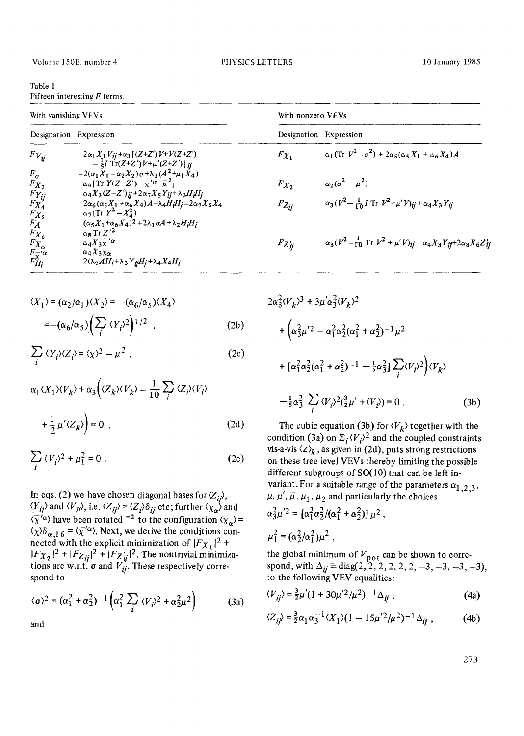| Table 1 |                                |  |
|---------|--------------------------------|--|
|         | Fifteen interesting $F$ terms. |  |

| With vanishing VEVs                                         |                                                                                                                                                                                  | With nonzero VEVs      |                                                                                                              |
|-------------------------------------------------------------|----------------------------------------------------------------------------------------------------------------------------------------------------------------------------------|------------------------|--------------------------------------------------------------------------------------------------------------|
| Designation Expression                                      |                                                                                                                                                                                  | Designation Expression |                                                                                                              |
| $F_{V_{ii}}$                                                | $2\alpha_1 X_1 V_{ij} + \alpha_3 [(Z + Z')V + V(Z + Z')]$<br>$-\frac{1}{5}I$ Tr(Z+Z')V+ $\mu'(Z+Z')$ ] ij                                                                        | $F_{X_1}$              | $\alpha_1$ (Tr $V^2 - \sigma^2$ ) + 2 $\alpha_5$ ( $\alpha_5 X_1$ + $\alpha_6 X_4$ )A                        |
| $F_{\sigma}$<br>$F_{X_3}$                                   | $-2(\alpha_1X_1-\alpha_2X_2)\sigma + \lambda_1(A^2+\mu_1X_4)$<br>$\alpha_4$ [Tr $Y(Z-Z')-\overline{\chi}'^{\alpha}-\overline{\mu}^2$ ]                                           | $F_{X_2}$              | $\alpha_2(\sigma^2-\mu^2)$                                                                                   |
| $F_{Yij}$<br>$F_{X4}$<br>$F_{X_5}$                          | $\alpha_4 X_3 (Z-Z')_{ij} + 2\alpha_7 X_5 Y_{ij} + \lambda_3 H_i H_j$<br>$2\alpha_6(\alpha_5X_1+\alpha_6X_4)A+\lambda_4H_iH_j-2\alpha_7X_5X_4$<br>$\alpha_7$ (Tr $Y^2 - X_4^2$ ) | $F_{Z_{ij}}$           | $\alpha_3(V^2 - \frac{1}{10}I \text{ Tr } V^2 + \mu' V_{ii} + \alpha_4 X_3 Y_{ii})$                          |
| $F_A$<br>$F_{X_6}$                                          | $(\alpha_5 X_1 + \alpha_6 X_4)^2 + 2\lambda_1 \alpha A + \lambda_2 H_i H_i$<br>$\alpha_8$ Tr $Z^2$                                                                               |                        |                                                                                                              |
| $F_{X_{\alpha}}^{F_{X_{\alpha}}^{F_{\alpha}}^{F_{\alpha}}}$ | $-\alpha_4 X_3 \widetilde{\chi}'^{\alpha}$<br>$-\alpha_4 X_3 x_{\alpha}$                                                                                                         | $F_{Z_{ij}'}$          | $\alpha_3(V^2 - \frac{1}{10} \text{ Tr } V^2 + \mu' V)_{ij} - \alpha_4 X_3 Y_{ij} + 2 \alpha_8 X_6 Z_{ij}^1$ |
|                                                             | $2(\lambda_2AH_i+\lambda_3Y_{ij}H_j+\lambda_4X_4H_i)$                                                                                                                            |                        |                                                                                                              |

$$
\langle X_1 \rangle = (\alpha_2/\alpha_1) \langle X_2 \rangle = -(\alpha_6/\alpha_5) \langle X_4 \rangle
$$
  
= -(\alpha\_6/\alpha\_5) \Big( \sum\_i \langle Y\_i \rangle^2 \Big)^{1/2}, \tag{2b}

$$
\sum_{i} \langle Y_{i} \rangle \langle Z_{i} \rangle = \langle \chi \rangle^{2} - \overline{\mu}^{2} , \qquad (2c)
$$

$$
\alpha_1 \langle X_1 \rangle \langle V_k \rangle + \alpha_3 \Big( \langle Z_k \rangle \langle V_k \rangle - \frac{1}{10} \sum_i \langle Z_i \rangle \langle V_i \rangle + \frac{1}{2} \mu' \langle Z_k \rangle \Big) = 0 , \qquad (2d)
$$

$$
\sum_{i} \langle V_{i} \rangle^{2} + \mu_{1}^{2} = 0 \tag{2e}
$$

In eqs. (2) we have chosen diagonal bases for  $\langle Z_{ii} \rangle$ ,  $\langle Y_{ij} \rangle$  and  $\langle V_{ij} \rangle$ , i.e.  $\langle Z_{ij} \rangle = \langle Z_i \rangle \delta_{ij}$  etc; further  $\langle \chi_{\alpha} \rangle$  and  $\langle \overline{\chi}^i \alpha \rangle$  have been rotated <sup>#2</sup> to the configuration  $\langle \chi_{\alpha} \rangle$  =  $\langle \chi \rangle \delta_{\alpha,16} = \langle \overline{\chi}'^{\alpha} \rangle$ . Next, we derive the conditions connected with the explicit minimization of  $|F_{X_1}|^2$  +  $|F_{X_2}|^2 + |F_{Z_{ij}}|^2 + |F_{Z'_{ij}}|^2$ . The nontrivial minimizations are w.r.t. **o** and  $V_{ii}$ . These respectively correspond to

$$
\langle \sigma \rangle^2 = (\alpha_1^2 + \alpha_2^2)^{-1} \left( \alpha_1^2 \sum_i \langle V_i \rangle^2 + \alpha_2^2 \mu^2 \right)
$$
 (3a)

and

$$
2\alpha_3^2 \langle V_k \rangle^3 + 3\mu' \alpha_3^2 \langle V_k \rangle^2
$$
  
+  $\left( \alpha_3^2 \mu'^2 - \alpha_1^2 \alpha_2^2 (\alpha_1^2 + \alpha_2^2)^{-1} \mu^2 \right)$   
+  $\left[ \alpha_1^2 \alpha_2^2 (\alpha_1^2 + \alpha_2^2)^{-1} - \frac{1}{5} \alpha_3^2 \right] \sum_i \langle V_i \rangle^2 \Big] \langle V_k \rangle$   
-  $\frac{1}{5} \alpha_3^2 \sum_i \langle V_i \rangle^2 (\frac{3}{2} \mu' + \langle V_i \rangle) = 0$ . (3b)

The cubic equation (3b) for  $\langle V_k \rangle$  together with the condition (3a) on  $\Sigma_i \langle V_i \rangle^2$  and the coupled constraints vis-a-vis  $\langle Z \rangle_k$ , as given in (2d), puts strong restrictions on these tree level VEVs thereby limiting the possible different subgroups of  $SO(10)$  that can be left invariant. For a suitable range of the parameters  $\alpha_{1,2,3}$ ,  $\mu, \mu', \overline{\mu}, \mu_1, \mu_2$  and particularly the choices

$$
\alpha_3^2 \mu'^2 = [\alpha_1^2 \alpha_2^2 / (\alpha_1^2 + \alpha_2^2)] \mu^2
$$
  

$$
\mu_1^2 = (\alpha_2^2 / \alpha_1^2) \mu^2
$$

the global minimum of  $V_{\text{pot}}$  can be shown to correspond, with  $\Delta_{ij} \equiv \text{diag}(2, 2, 2, 2, 2, 2, -3, -3, -3, -3)$ , to the following VEV equalities:

$$
\langle V_{ij} \rangle = \frac{3}{2} \mu' (1 + 30 \mu'^2 / \mu^2)^{-1} \Delta_{ij} , \qquad (4a)
$$

$$
\langle Z_{ij} \rangle = \frac{3}{2} \alpha_1 \alpha_3^{-1} \langle X_1 \rangle (1 - 15 \mu'^2 / \mu^2)^{-1} \Delta_{ij} , \qquad (4b)
$$

273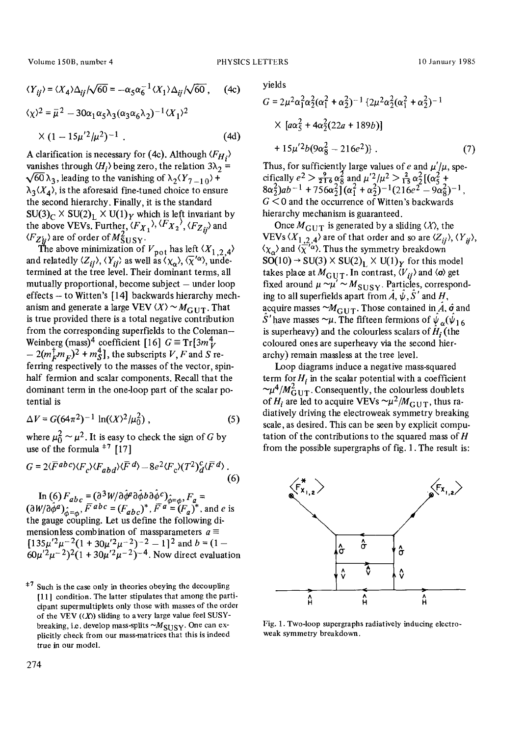Volume 150B, number 4 **PHYSICS LETTERS** 10 January 1985

$$
\langle Y_{ij}\rangle = \langle X_4 \rangle \Delta_{ij} / \sqrt{60} = -\alpha_5 \alpha_6^{-1} \langle X_1 \rangle \Delta_{ij} / \sqrt{60}, \quad (4c)
$$
  

$$
\langle \chi \rangle^2 = \overline{\mu}^2 - 30 \alpha_1 \alpha_5 \lambda_3 (\alpha_3 \alpha_6 \lambda_2)^{-1} \langle X_1 \rangle^2
$$
  

$$
\times (1 - 15 \mu'^2 / \mu^2)^{-1} . \quad (4d)
$$

A clarification is necessary for (4c). Although *(FHi}*  vanishes through  $\langle H_i \rangle$  being zero, the relation  $3\lambda_2 =$  $\sqrt{60} \lambda_3$ , leading to the vanishing of  $\lambda_2 (Y_{7-1,0})$  +  $\lambda_3\langle X_4\rangle$ , is the aforesaid fine-tuned choice to ensure the second hierarchy. Finally, it is the standard  $SU(3)_C \times SU(2)_L \times U(1)_Y$  which is left invariant by the above VEVs. Further,  $\langle F_{X_1} \rangle$ ,  $\langle F_{X_2} \rangle$ ,  $\langle F_{Z_{ij}} \rangle$  and  $\langle F_{Z_H'} \rangle$  are of order of  $M_{\text{SUSY}}^2$ .

The above minimization of  $V_{\text{pot}}$  has left  $(X_{1,2,4})$ and relatedly  $\langle Z_{ij} \rangle$ ,  $\langle Y_{ij} \rangle$  as well as  $\langle \chi_{\alpha} \rangle$ ,  $\langle \chi^{\alpha} \rangle$ , undetermined at the tree level. Their dominant terms, all mutually proportional, become subject  $-$  under loop effects  $-$  to Witten's  $[14]$  backwards hierarchy mechanism and generate a large VEV  $\langle X \rangle \sim M_{\text{GUT}}$ . That is true provided there is a total negative contribution from the corresponding superfields to the Coleman-Weinberg (mass)<sup>4</sup> coefficient [16]  $G \equiv Tr[3m_V^4]$  $-2(m_F^{\dagger}m_F)^2 + m_S^4$ , the subscripts V, F and S referring respectively to the masses of the vector, spinhalf fermion and scalar components. Recall that the dominant term in the one-loop part of the scalar potential is

$$
\Delta V = G(64\pi^2)^{-1} \ln((X)^2/\mu_0^2) , \qquad (5)
$$

where  $\mu_0^2 \sim \mu^2$ . It is easy to check the sign of G by use of the formula  $*$ <sup>7</sup> [17]

$$
G = 2\langle \overline{F}^{ab}{}^{c}\rangle \langle F_{c}\rangle \langle F_{abd}\rangle \langle \overline{F}^{d}\rangle - 8e^{2}\langle F_{c}\rangle (T^{2})_{d}^{c}\langle \overline{F}^{d}\rangle. \tag{6}
$$

In (6)  $F_{abc} = (\partial^3 W / \partial \phi^a \partial \phi^b \partial \phi^c)_{\phi = \phi}^{\circ}, F_a =$  $(\partial W/\partial \phi^a)_{\hat{\phi}=\phi}$ ,  $F^{abc} = (F_{abc})^*$ ,  $F^a = (F_a)^*$ , and e is the gauge coupling. Let us define the following dimensionless combination of massparameters  $a \equiv$  $[135\mu'^2\mu^{-2}(1+30\mu'^2\mu^{-2})^{-2} - 1]^2$  and  $b = (1 60\mu'^2\mu^{-2}$ )<sup>2</sup>(1 + 30 $\mu'^2\mu^{-2}$ )<sup>-4</sup>. Now direct evaluation yields

$$
G = 2\mu^{2}\alpha_{1}^{2}\alpha_{2}^{2}(\alpha_{1}^{2} + \alpha_{2}^{2})^{-1} \left\{ 2\mu^{2}\alpha_{2}^{2}(\alpha_{1}^{2} + \alpha_{2}^{2})^{-1} \right. \\
\times \left[ a\alpha_{5}^{2} + 4\alpha_{2}^{2}(22a + 189b) \right] \\
+ 15\mu^{2}b(9\alpha_{8}^{2} - 216e^{2}) \right\}.
$$
\n(7)

Thus, for sufficiently large values of e and  $\mu'/\mu$ , specifically  $e^2 > \frac{1}{216} \alpha_{8}^{2}$  and  $\mu^2/\mu^2 > \frac{1}{15} \alpha_{2}^{2} [(\alpha_{5}^{2} +$  $8\alpha_2^2$ )ab<sup>-1</sup> +  $756\alpha_2^2$ ] ( $\alpha_1^2$  +  $\alpha_2^2$ )<sup>-1</sup>(216e<sup>2</sup> -  $9\alpha_2^2$ )<sup>-1</sup>,  $G \leq 0$  and the occurrence of Witten's backwards hierarchy mechanism is guaranteed.

Once  $M_{\text{GUT}}$  is generated by a sliding  $\langle X \rangle$ , the VEVs  $\langle X_{1,2,4} \rangle$  are of that order and so are  $\langle Z_{ii} \rangle$ ,  $\langle Y_{ii} \rangle$ ,  $\langle \chi_{\alpha} \rangle$  and  $\langle \overline{\chi}'^{\alpha} \rangle$ . Thus the symmetry breakdown  $SO(10) \rightarrow SU(3) \times SU(2)_L \times U(1)_Y$  for this model takes place at  $M_{\rm GUT}$ . In contrast,  $\langle V_{ii} \rangle$  and  $\langle \sigma \rangle$  get fixed around  $\mu \sim \mu' \sim M_{\text{SUSY}}$ . Particles, corresponding to all superfields apart from  $\hat{A}$ ,  $\hat{\psi}$ ,  $\hat{S}'$  and H, acquire masses  $\sim M_{\text{GUT}}$ . Those contained in  $\hat{A}$ ,  $\hat{\sigma}$  and S' have masses  $\sim \mu$ . The fifteen fermions of  $\psi_{\alpha}(\psi_{16})$ is superheavy) and the colourless scalars of  $\hat{H}_i$  (the coloured ones are superheavy via the second hierarchy) remain massless at the tree level.

Loop diagrams induce a negative mass-squared term for  $H_i$  in the scalar potential with a coefficient  $\sim \mu^4/M_{\rm GUT}^2$ . Consequently, the colourless doublets of  $H_i$  are led to acquire VEVs  $\sim \mu^2/M_{\text{GUT}}$ , thus radiatively driving the electroweak symmetry breaking scale, as desired. This can be seen by explicit computation of the contributions to the squared mass of  $H$ from the possible supergraphs of fig. 1. The result is:



Fig. 1. Two-loop supergraphs radiatively inducing electroweak symmetry breakdown.

 $+7$  Such is the case only in theories obeying the decoupling [11] condition. The latter stipulates that among the participant supermultiplets only those with masses of the order of the VEV  $(\langle X \rangle)$  sliding to a very large value feel SUSYbreaking, i.e. develop mass-splits  $\sim M_{\text{SUSY}}$ . One can explicitly check from our mass-matrices that this is indeed true in our model.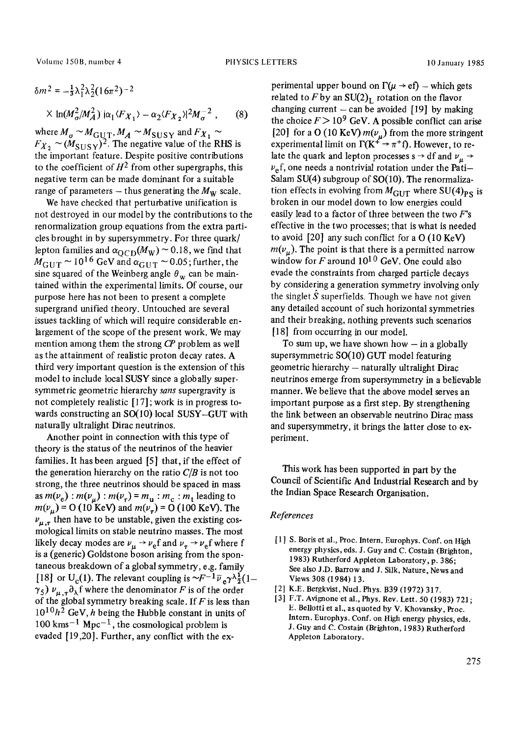Volume 150B, number 4 **PHYSICS LETTERS** 10 January 1985

$$
\delta m^2 = -\frac{1}{3} \lambda_1^2 \lambda_2^2 (16\pi^2)^{-2}
$$
  
 
$$
\times \ln(M_\sigma^2/M_A^2) \, i\alpha_1 \langle F_{X_1} \rangle - \alpha_2 \langle F_{X_2} \rangle^2 M_\sigma^{-2} \,, \qquad (8)
$$

where  $M_{\sigma}$   $\sim$   $M_{\rm GUT}$ ,  $M_A$   $\sim$   $M_{\rm SUSY}$  and  $F_{X_1}$  $F_{X_2} \sim (M_{\text{SUSY}})^2$ . The negative value of the RHS is the important feature. Despite positive contributions to the coefficient of  $H^2$  from other supergraphs, this negative term can be made dominant for a suitable range of parameters  $-$  thus generating the  $M_W$  scale.

We have checked that perturbative unification is not destroyed in our model by the contributions to the renormalization group equations from the extra particles brought in by supersymmetry. For three quark/ lepton families and  $\alpha_{\text{OCD}}(M_W) \sim 0.18$ , we find that  $M_{\text{GUT}} \sim 10^{16} \text{ GeV}$  and  $\alpha_{\text{GUT}} \sim 0.05$ ; further, the sine squared of the Weinberg angle  $\theta_w$  can be maintained within the experimental limits. Of course, our purpose here has not been to present a complete supergrand unified theory. Untouched are several issues tackling of which will require considerable enlargement of the scope of the present work. We may mention among them the strong *CP* problem as well as the attainment of realistic proton decay rates. A third very important question is the extension of this model to include local SUSY since a globally supersymmetric geometric hierarchy *sans* supergravity is not completely realistic [17] ; work is in progress towards constructing an SO(10) local SUSY-GUT with naturally ultralight Dirac neutrinos.

Another point in connection with this type of theory is the status of the neutrinos of the heavier families. It has been argued [5] that, if the effect of the generation hierarchy on the ratio *C/B* is not too strong, the three neutrinos should be spaced in mass as  $m(v_e)$ :  $m(v_u)$ :  $m(v_\tau)$  =  $m_u$ :  $m_c$ :  $m_t$  leading to  $m(v_u) = O(10 \text{ KeV})$  and  $m(v_\tau) = O(100 \text{ KeV})$ . The  $v_{\mu,\tau}$  then have to be unstable, given the existing cosmological limits on stable neutrino masses. The most likely decay modes are  $v_{\mu} \rightarrow v_{\text{e}} f$  and  $v_{\tau} \rightarrow v_{\text{e}} f$  where f is a (generic) Goldstone boson arising from the spontaneous breakdown of a global symmetry, e.g. family [18] or U<sub>c</sub>(1). The relevant coupling is  $\sim F^{-1} \overline{\nu}_e \gamma \lambda_{\overline{2}}^1(1-\overline{\nu}_e)$  $\gamma_5$ )  $\nu_{\mu,\tau}\partial_\lambda f$  where the denominator F is of the order of the global symmetry breaking scale. If  $F$  is less than  $10^{10}h^2$  GeV, h being the Hubble constant in units of  $100 \text{ km s}^{-1}$  Mpc<sup>-1</sup>, the cosmological problem is evaded [19,20]. Further, any conflict with the experimental upper bound on  $\Gamma(\mu \to e f)$  - which gets related to F by an  $SU(2)_L$  rotation on the flavor changing current  $-$  can be avoided [19] by making the choice  $F > 10^9$  GeV. A possible conflict can arise [20] for a O (10 KeV)  $m(v_u)$  from the more stringent experimental limit on  $\Gamma(K^+ \to \pi^+f)$ . However, to relate the quark and lepton processes s  $\rightarrow$  df and  $\nu_{\mu}$   $\rightarrow$  $v<sub>e</sub>$ f, one needs a nontrivial rotation under the Pati-Salam SU(4) subgroup of SO(10). The renormalization effects in evolving from  $M_{\text{GUT}}$  where SU(4)<sub>PS</sub> is broken in our model down to low energies could easily lead to a factor of three between the two  $F$ 's effective in the two processes; that is what is needed to avoid  $[20]$  any such conflict for a  $O(10 \text{ KeV})$  $m(v_n)$ . The point is that there is a permitted narrow window for F around  $10^{10}$  GeV. One could also evade the constraints from charged particle decays by considering a generation symmetry involving only the singlet  $\tilde{S}$  superfields. Though we have not given any detailed account of such horizontal symmetries and their breaking, nothing prevents such scenarios [18] from occurring in our model.

To sum up, we have shown how  $-$  in a globally supersymmetric SO(10) GUT model featuring geometric hierarchy - naturally ultralight Dirac neutrinos emerge from supersymmetry in a believable manner. We believe that the above model serves an important purpose as a first step. By strengthening the link between an observable neutrino Dirac mass and supersymmetry, it brings the latter close to experiment.

This work has been supported in part by the Council of Scientific And Industrial Research and by the Indian Space Research Organisation.

### *References*

- [1] S. Boris et al., Proc. Intern. Europhys. Conf. on High energy physics, eds. J. Guy and C. Costain (Brighton, 1983) Rutherford Appleton Laboratory, p. 386; See also J.D. Barrow and J. Silk, Nature, News and Views 308 (1984) 13.
- [2] K.E. Bergkvist, Nucl. Phys. B39 (1972) 317.
- [3] F.T. Avignone et al., Phys. Rev. Lett. 50 (1983) 721; E. Bellotti et al., as quoted by V. Khovansky, Proc. Intern. Europhys. Conf. on High energy physics, eds. J. Guy and C. Costain (Brighton, 1983) Rutherford Appleton Laboratory.